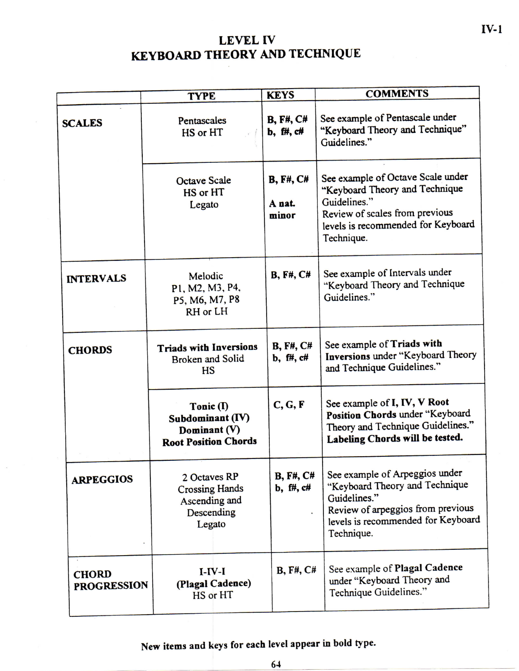## **LEVEL IV KEYBOARD THEORY AND TECHNIQUE**

|                                    | <b>TYPE</b>                                                                    | <b>KEYS</b>                          | <b>COMMENTS</b>                                                                                                                                                           |  |  |
|------------------------------------|--------------------------------------------------------------------------------|--------------------------------------|---------------------------------------------------------------------------------------------------------------------------------------------------------------------------|--|--|
| <b>SCALES</b>                      | Pentascales<br>HS or HT                                                        | <b>B, F#, C#</b><br>$b, ff, cf$      | See example of Pentascale under<br>"Keyboard Theory and Technique"<br>Guidelines."                                                                                        |  |  |
|                                    | <b>Octave Scale</b><br>HS or HT<br>Legato                                      | <b>B</b> , F#, C#<br>A nat.<br>minor | See example of Octave Scale under<br>"Keyboard Theory and Technique<br>Guidelines."<br>Review of scales from previous<br>levels is recommended for Keyboard<br>Technique. |  |  |
| <b>INTERVALS</b>                   | Melodic<br>P1, M2, M3, P4,<br>P5, M6, M7, P8<br>RH or LH                       | <b>B</b> , F#, C#                    | See example of Intervals under<br>"Keyboard Theory and Technique<br>Guidelines."                                                                                          |  |  |
| <b>CHORDS</b>                      | <b>Triads with Inversions</b><br><b>Broken</b> and Solid<br><b>HS</b>          | <b>B</b> , F#, C#<br>$b, ff, cf#$    | See example of Triads with<br>Inversions under "Keyboard Theory<br>and Technique Guidelines."                                                                             |  |  |
|                                    | Tonic (I)<br>Subdominant (IV)<br>Dominant (V)<br><b>Root Position Chords</b>   | C, G, F                              | See example of I, IV, V Root<br>Position Chords under "Keyboard<br>Theory and Technique Guidelines."<br>Labeling Chords will be tested.                                   |  |  |
| <b>ARPEGGIOS</b>                   | 2 Octaves RP<br><b>Crossing Hands</b><br>Ascending and<br>Descending<br>Legato | <b>B, F#, C#</b><br>b, f#, c#        | See example of Arpeggios under<br>"Keyboard Theory and Technique<br>Guidelines."<br>Review of arpeggios from previous<br>levels is recommended for Keyboard<br>Technique. |  |  |
| <b>CHORD</b><br><b>PROGRESSION</b> | $I-IV-I$<br>(Plagal Cadence)<br>HS or HT                                       | B, F#, C#                            | See example of Plagal Cadence<br>under "Keyboard Theory and<br>Technique Guidelines."                                                                                     |  |  |

New items and keys for each level appear in bold type.